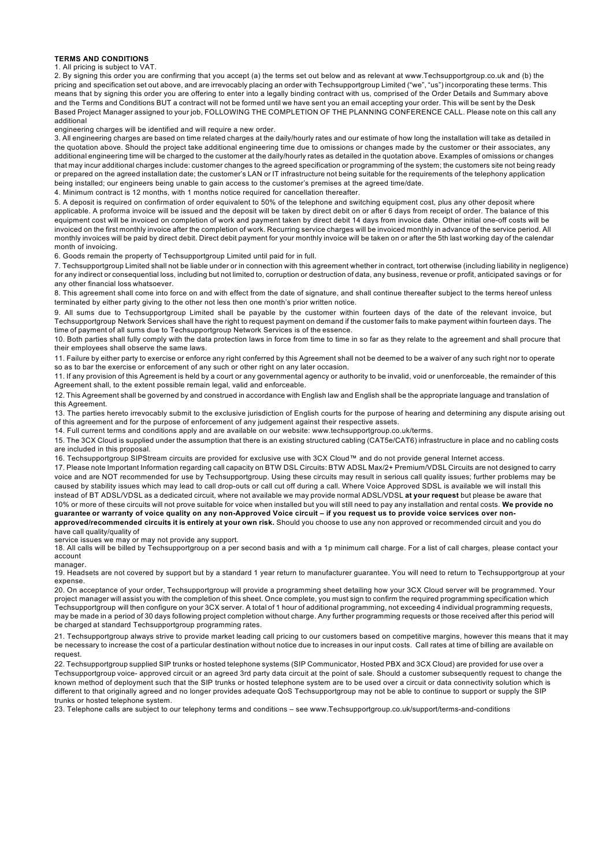## **TERMS AND CONDITIONS**

## 1. All pricing is subject to VAT.

2. By signing this order you are confirming that you accept (a) the terms set out below and as relevant at www.Techsupportgroup.co.uk and (b) the pricing and specification set out above, and are irrevocably placing an order with Techsupportgroup Limited ("we", "us") incorporating these terms. This means that by signing this order you are offering to enter into a legally binding contract with us, comprised of the Order Details and Summary above and the Terms and Conditions BUT a contract will not be formed until we have sent you an email accepting your order. This will be sent by the Desk Based Project Manager assigned to your job, FOLLOWING THE COMPLETION OF THE PLANNING CONFERENCE CALL. Please note on this call any additional

engineering charges will be identified and will require a new order.

3. All engineering charges are based on time related charges at the daily/hourly rates and our estimate of how long the installation will take as detailed in the quotation above. Should the project take additional engineering time due to omissions or changes made by the customer or their associates, any additional engineering time will be charged to the customer at the daily/hourly rates as detailed in the quotation above. Examples of omissions or changes that may incur additional charges include: customer changes to the agreed specification or programming of the system; the customers site not being ready or prepared on the agreed installation date; the customer's LAN or IT infrastructure not being suitable for the requirements of the telephony application being installed; our engineers being unable to gain access to the customer's premises at the agreed time/date.

4. Minimum contract is 12 months, with 1 months notice required for cancellation thereafter.

5. A deposit is required on confirmation of order equivalent to 50% of the telephone and switching equipment cost, plus any other deposit where applicable. A proforma invoice will be issued and the deposit will be taken by direct debit on or after 6 days from receipt of order. The balance of this equipment cost will be invoiced on completion of work and payment taken by direct debit 14 days from invoice date. Other initial one-off costs will be invoiced on the first monthly invoice after the completion of work. Recurring service charges will be invoiced monthly in advance of the service period. All monthly invoices will be paid by direct debit. Direct debit payment for your monthly invoice will be taken on or after the 5th last working day of the calendar month of invoicing.

6. Goods remain the property of Techsupportgroup Limited until paid for in full.

7. Techsupportgroup Limited shall not be liable under or in connection with this agreement whether in contract, tort otherwise (including liability in negligence) for any indirect or consequential loss, including but not limited to, corruption or destruction of data, any business, revenue or profit, anticipated savings or for any other financial loss whatsoever.

8. This agreement shall come into force on and with effect from the date of signature, and shall continue thereafter subject to the terms hereof unless terminated by either party giving to the other not less then one month's prior written notice.

9. All sums due to Techsupportgroup Limited shall be payable by the customer within fourteen days of the date of the relevant invoice, but Techsupportgroup Network Services shall have the right to request payment on demand if the customer fails to make payment within fourteen days. The time of payment of all sums due to Techsupportgroup Network Services is of the essence.

10. Both parties shall fully comply with the data protection laws in force from time to time in so far as they relate to the agreement and shall procure that their employees shall observe the same laws.

11. Failure by either party to exercise or enforce any right conferred by this Agreement shall not be deemed to be a waiver of any such right nor to operate so as to bar the exercise or enforcement of any such or other right on any later occasion.

11. If any provision of this Agreement is held by a court or any governmental agency or authority to be invalid, void or unenforceable, the remainder of this Agreement shall, to the extent possible remain legal, valid and enforceable.

12. This Agreement shall be governed by and construed in accordance with English law and English shall be the appropriate language and translation of this Agreement.

13. The parties hereto irrevocably submit to the exclusive jurisdiction of English courts for the purpose of hearing and determining any dispute arising out of this agreement and for the purpose of enforcement of any judgement against their respective assets.

14. Full current terms and conditions apply and are available on our website: www.techsupportgroup.co.uk/terms.

15. The 3CX Cloud is supplied under the assumption that there is an existing structured cabling (CAT5e/CAT6) infrastructure in place and no cabling costs are included in this proposal.

16. Techsupportgroup SIPStream circuits are provided for exclusive use with 3CX Cloud™ and do not provide general Internet access.

17. Please note Important Information regarding call capacity on BTW DSL Circuits: BTW ADSL Max/2+ Premium/VDSL Circuits are not designed to carry voice and are NOT recommended for use by Techsupportgroup. Using these circuits may result in serious call quality issues; further problems may be caused by stability issues which may lead to call drop-outs or call cut off during a call. Where Voice Approved SDSL is available we will install this instead of BT ADSL/VDSL as a dedicated circuit, where not available we may provide normal ADSL/VDSL **at your request** but please be aware that 10% or more of these circuits will not prove suitable for voice when installed but you will still need to pay any installation and rental costs. **We provide no guarantee or warranty of voice quality on any non-Approved Voice circuit – if you request us to provide voice services over non-**

**approved/recommended circuits it is entirely at your own risk.** Should you choose to use any non approved or recommended circuit and you do have call quality/quality of

service issues we may or may not provide any support.

18. All calls will be billed by Techsupportgroup on a per second basis and with a 1p minimum call charge. For a list of call charges, please contact your account

manager.

19. Headsets are not covered by support but by a standard 1 year return to manufacturer guarantee. You will need to return to Techsupportgroup at your expense.

20. On acceptance of your order, Techsupportgroup will provide a programming sheet detailing how your 3CX Cloud server will be programmed. Your project manager will assist you with the completion of this sheet. Once complete, you must sign to confirm the required programming specification which Techsupportgroup will then configure on your 3CX server. A total of 1 hour of additional programming, not exceeding 4 individual programming requests, may be made in a period of 30 days following project completion without charge. Any further programming requests or those received after this period will be charged at standard Techsupportgroup programming rates.

21. Techsupportgroup always strive to provide market leading call pricing to our customers based on competitive margins, however this means that it may be necessary to increase the cost of a particular destination without notice due to increases in our input costs. Call rates at time of billing are available on request.

22. Techsupportgroup supplied SIP trunks or hosted telephone systems (SIP Communicator, Hosted PBX and 3CX Cloud) are provided for use over a Techsupportgroup voice- approved circuit or an agreed 3rd party data circuit at the point of sale. Should a customer subsequently request to change the known method of deployment such that the SIP trunks or hosted telephone system are to be used over a circuit or data connectivity solution which is different to that originally agreed and no longer provides adequate QoS Techsupportgroup may not be able to continue to support or supply the SIP trunks or hosted telephone system.

23. Telephone calls are subject to our telephony terms and conditions – see www.Techsupportgroup.co.uk/support/terms-and-conditions